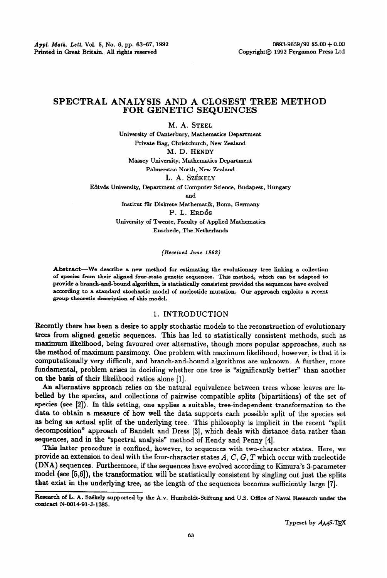# **SPECTRAL ANALYSIS AND A CLOSEST TREE METHOD FOR GENETIC SEQUENCES**

M. A. STEEL **University of Canterbury, Mathematics Department Private Bag, Chriitchurch, New Zealand M. D. HENDY Massey University, Mathematics Department Palmerston North, New Zealand**  L. A. Székely Eötvös University, Department of Computer Science, Budapest, Hungary **and lnstitut fiir Diskrete Mathematik, Bonn, Germany**  P. L. ERDÖS

**University of Twente, Faculty of Applied Mathematics Enschede, The Netherlands** 

## *(Received June* **1992)**

**Abstract-We describe a new method for estimating the evolutionary tree linking a collection of species from their aligned four-state genetic sequences. This method, which can be adapted to provide** a **branch-and-bound algorithm, is statistically consistent provided the sequences have evolved according to a standard stochastic model of nucleotide mutation. Our approach exploits a recent**  group-theoretic description of this model.

# 1. **INTRODUCTION**

Recently there has been a desire to apply stochastic models to the reconstruction of evolutionary trees from aligned genetic sequences. This has led to statistically consistent methods, such as maximum likelihood, being favoured over alternative, though more popular approaches, such as the method of maximum parsimony. One problem with maximum likelihood, however, is that it is computationally very difficult, and branch-and-bound algorithms are unknown. A further, more fundamental, problem arises in deciding whether one tree is "significantly better" than another on the basis of their likelihood ratios alone [l].

An alternative approach relies on the natural equivalence between trees whose leaves are labelled by the species, and collections of pairwise compatible splits (bipartitions) of the set of species (see [2]). In this setting, one applies a suitable, tree-independent transformation to the data to obtain a measure of how well the data supports each possible split of the species set as being an actual split of the underlying tree. This philosophy is implicit in the recent "split decomposition" approach of Bandelt and Dress [3], which deals with distance data rather than sequences, and in the "spectral analysis" method of Hendy and Penny [4].

This latter procedure is confined, however, to sequences with twocharacter states. Here, we provide an extension to deal with the four-character states *A, C, G, T* which occur with nucleotide (DNA) sequences. Furthermore, if the sequences have evolved according to Kimura's 3-parameter model (see [5,6]), the transformation will be statistically consistent by singling out just the splits that exist in the underlying tree, as the length of the sequences becomes sufficiently large [7].

Research of L. A. Székely supported by the A.v. Humboldt-Stiftung and U.S. Office of Naval Research under the **contract N-QO1491-J-1385.**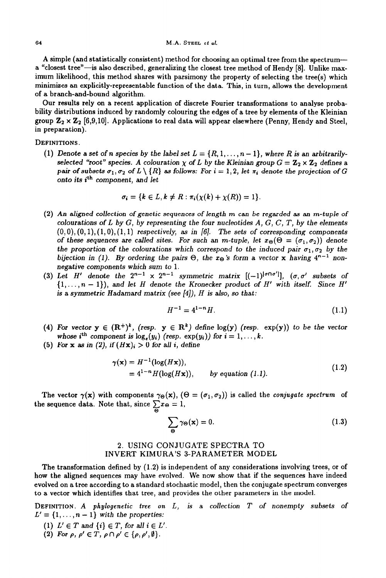A simple (and statistically consistent) method for choosing an optimal tree from the spectruma "closest tree"-is also described, generalizing the closest tree method of Hendy [8]. Unlike maximum likelihood, this method shares with parsimony the property of selecting the tree(s) which minimizes an explicitly-representable function of the data. This, in turn, allows the development of a branch-and-bound algorithm.

Our results rely on a recent application of discrete Fourier transformations to analyse probability distributions induced by randomly colouring the edges of a tree by elements of the Kleinian group  $\mathbf{Z}_2 \times \mathbf{Z}_2$  [6,9,10]. Applications to real data will appear elsewhere (Penny, Hendy and Steel, in preparation).

### **DEFINITIONS.**

(1) Denote a set of *n* species by the label set  $L = \{R, 1, \ldots, n-1\}$ , where *R* is an arbitrari *selected "root" species. A colouration*  $\chi$  *of L by the Kleinian group*  $G = \mathbb{Z}_2 \times \mathbb{Z}_2$  *defines a pair of subsets*  $\sigma_1, \sigma_2$  of  $L \setminus \{R\}$  as follows: For  $i = 1, 2$ , let  $\pi_i$  denote the projection of G *onto its ith component, and let* 

$$
\sigma_i = \{k \in L, k \neq R : \pi_i(\chi(k) + \chi(R)) = 1\}.
$$

- (2) *An aligned collection of genetic sequences of length m* can *be regarded as an m-tuple of colourations of L by G, by representing the four nucleotides A, G, C, T, by the elements*   $(0,0), (0,1), (1,0), (1,1)$  *respectively, as in [6]. The sets of corresponding components of these sequences are called sites. For such an m-tuple, let*  $x_{\Theta}(\Theta = (\sigma_1, \sigma_2))$  denote the proportion of the colourations which correspond to the induced pair  $\sigma_1, \sigma_2$  by the *bijection in (1). By ordering the pairs*  $\Theta$ *, the*  $x_{\Theta}$ *'s form a vector x having 4<sup>n-1</sup> non*negative *components which sum to* 1.
- (3) Let H' denote the  $2^{n-1} \times 2^{n-1}$  symmetric matrix  $[(-1)^{|\sigma \cap \sigma|}]$ ,  $(\sigma, \sigma'$  subsets of  $\{1,\ldots,n-1\}$ , and let H denote the Kronecker product of H' with itself. Since H' *is* a *symmetric* Hadamard matrix (see [41), *H is* also, so *that:*

$$
H^{-1} = 4^{1-n}H.\t\t(1.1)
$$

- (4) For vector  $y \in (R^+)^{\kappa}$ , (resp.  $y \in R^{\kappa}$ ) define  $log(y)$  (resp.  $exp(y)$ ) to be the vector *whose i*<sup>th</sup> component is  $\log_e(y_i)$  *(resp. exp(y<sub>i</sub>))* for  $i = 1, ..., k$ .
- (5) For **x** as in (2), if  $(H\mathbf{x})_i > 0$  for all *i*, define

$$
\gamma(\mathbf{x}) = H^{-1}(\log(H\mathbf{x})),
$$
  
= 4<sup>1-n</sup>H(log(H\mathbf{x})), by equation (1.1). (1.2)

The vector  $\gamma(x)$  with components  $\gamma_{\Theta}(x)$ ,  $(\Theta = (\sigma_1, \sigma_2))$  is called the *conjugate spectrum* of the sequence data. Note that, since  $\sum x_{\Theta} = 1$ ,  $\overline{\bullet}$ 

$$
\sum_{\Theta} \gamma_{\Theta}(\mathbf{x}) = 0. \tag{1.3}
$$

## *2.* USING CONJUGATE SPECTRA TO INVERT KIMURA'S 3-PARAMETER MODEL

The transformation defined by (1.2) is independent of any considerations involving trees, or of how the aligned sequences may have evolved. We now show that if the sequences have indeed evolved on a tree according to a standard stochastic model, then the conjugate spectrum converges to a vector which identifies that tree, and provides the other parameters in the model.

**DEFINITION. A** *phylogenetic tree on L, is a collection T of nonempty* subsets **of**   $L'={1,\ldots,n-1}$  *with the properties:* 

- (1)  $L' \in T$  and  $\{i\} \in T$ , for all  $i \in L'$ .
- (2) For  $\rho, \rho' \in T, \rho \cap \rho' \in {\rho, \rho', \emptyset}.$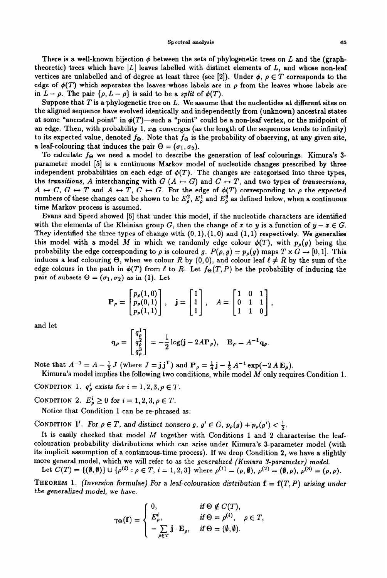#### **Spectral analysis 65**

There is a well-known bijection  $\phi$  between the sets of phylogenetic trees on L and the (graphtheoretic) trees which have  $|L|$  leaves labelled with distinct elements of  $L$ , and whose non-leaf vertices are unlabelled and of degree at least three (see [2]). Under  $\phi$ ,  $\rho \in T$  corresponds to the edge of  $\phi(T)$  which seperates the leaves whose labels are in  $\rho$  from the leaves whose labels are in  $L - \rho$ . The pair  $\{\rho, L - \rho\}$  is said to be a *split* of  $\phi(T)$ .

Suppose that *T* is a phylogenetic tree on *L.* We assume that the nucleotides at different sites on the aligned sequence have evolved identically and independently from (unknown) ancestral states at some "ancestral point" in  $\phi(T)$ —such a "point" could be a non-leaf vertex, or the midpoint of an edge. Then, with probability 1,  $x_{\Theta}$  converges (as the length of the sequences tends to infinity) to its expected value, denoted  $f_{\Theta}$ . Note that  $f_{\Theta}$  is the probability of observing, at any given site, a leaf-colouring that induces the pair  $\Theta = (\sigma_1, \sigma_2)$ .

To calculate *fe we* need a model to describe the generation of leaf colourings. Kimura's 3 parameter model [5] is a continuous Markov model of nucleotide changes prescribed by three independent probabilities on each edge of  $\phi(T)$ . The changes are categorised into three types, the *transitions, A* interchanging with  $G(A \leftrightarrow G)$  and  $C \leftrightarrow T$ , and two types of *transversions*,  $A \leftrightarrow C, G \leftrightarrow T$  and  $A \leftrightarrow T, C \leftrightarrow G$ . For the edge of  $\phi(T)$  corresponding to  $\rho$  the expected numbers of these changes can be shown to be  $E^2_\rho$ ,  $E^1_\rho$  and  $E^3_\rho$  as defined below, when a continuous time Markov process is assumed.

Evans and Speed showed [6] that under this model, if the nucleotide characters are identified with the elements of the Kleinian group G, then the change of x to y is a function of  $y - x \in G$ . They identified the three types of change with  $(0, 1), (1, 0)$  and  $(1, 1)$  respectively. We generalise this model with a model *M* in which we randomly edge colour  $\phi(T)$ , with  $p_{\rho}(g)$  being the probability the edge corresponding to  $\rho$  is coloured g.  $P(\rho, g) = p_{\rho}(g)$  maps  $T \times G \rightarrow [0, 1]$ . This induces a leaf colouring  $\Theta$ , when we colour *R* by (0,0), and colour leaf  $\ell \neq R$  by the sum of the edge colours in the path in  $\phi(T)$  from  $\ell$  to R. Let  $f_{\Theta}(T, P)$  be the probability of inducing the pair of subsets  $\Theta = (\sigma_1, \sigma_2)$  as in (1). Let

$$
\mathbf{P}_{\rho} = \begin{bmatrix} p_{\rho}(1,0) \\ p_{\rho}(0,1) \\ p_{\rho}(1,1) \end{bmatrix}, \quad \mathbf{j} = \begin{bmatrix} 1 \\ 1 \\ 1 \end{bmatrix}, \quad A = \begin{bmatrix} 1 & 0 & 1 \\ 0 & 1 & 1 \\ 1 & 1 & 0 \end{bmatrix},
$$

and let

$$
\mathbf{q}_{\rho} = \begin{bmatrix} q_{\rho}^{1} \\ q_{\rho}^{2} \\ q_{\rho}^{3} \end{bmatrix} = -\frac{1}{2} \log(\mathbf{j} - 2A\mathbf{P}_{\rho}), \quad \mathbf{E}_{\rho} = A^{-1} \mathbf{q}_{\rho}.
$$

Note that  $A^{-1}=A-\frac{1}{2}J$  (where  $J=jJ^T$ ) and  $P_\rho=\frac{1}{4}j-\frac{1}{2}A^{-1}\exp(-2A\mathbf{E}_\rho).$ 

Kimura's model implies the following two conditions, while model *M* only requires Condition 1.

CONDITION 1.  $q_p^i$  exists for  $i = 1, 2, 3, \rho \in T$ .

**CONDITION** 2.  $E_{\rho}^{i} \ge 0$  for  $i = 1, 2, 3, \rho \in T$ .

Notice that Condition 1 can be re-phrased as:

CONDITION 1'. For  $\rho \in T$ , and distinct nonzero g,  $g' \in G$ ,  $p_{\rho}(g) + p_{\rho}(g') < \frac{1}{2}$ .

It is easily checked that model *M* together with Conditions 1 and 2 characterise the leafcolouration probability distributions which can arise under Kimura's 3-parameter model (with its implicit assumption of a continuous-time process). If we drop Condition 2, we have a slightly more general model, which we will refer to as the *generalized (Kimura %pammeter) model.* 

Let  $C(T) = \{(\emptyset, \emptyset) \} \cup \{ \rho^{(i)} : \rho \in T, i = 1, 2, 3 \}$  where  $\rho^{(1)} = (\rho, \emptyset), \rho^{(2)} = (\emptyset, \rho), \rho^{(3)} = (\rho, \rho).$ 

**THEOREM 1.** (Inversion formulae) For a leaf-colouration distribution  $f = f(T, P)$  arising under *the generalized model, we* have:

$$
\gamma_{\Theta}(\mathbf{f}) = \begin{cases} 0, & \text{if } \Theta \notin C(T), \\ E_{\rho}^{i}, & \text{if } \Theta = \rho^{(i)}, \quad \rho \in T, \\ -\sum_{\rho \in T} \mathbf{j} \cdot \mathbf{E}_{\rho}, & \text{if } \Theta = (\emptyset, \emptyset). \end{cases}
$$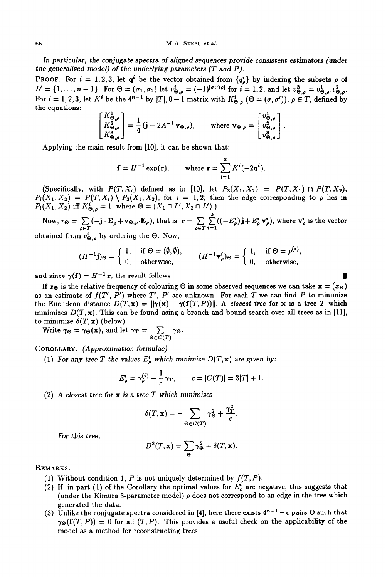*In* particular, *the* conjugate spectra *of* aligned sequences provide consistent estimators (under *the* generalized model) *of the* underlying parameters *(T* and *P).* 

PROOF. For  $i = 1,2,3$ , let q' be the vector obtained from  $\{q^i_\rho\}$  by indexing the subsets  $\rho$  of  $L' = \{1, \ldots, n-1\}$ . For  $\Theta = (\sigma_1, \sigma_2)$  let  $v_{\Theta, \rho}^* = (-1)^{|\sigma_1| + |\rho|}$  for  $i = 1, 2$ , and let  $v_{\Theta, \rho}^* = v_{\Theta, \rho}^* \cdot v_{\Theta, \rho}^*$ . For  $i = 1, 2, 3$ , let *K*<sup>\*</sup> be the 4<sup>n-1</sup> by  $|T|, 0 - 1$  matrix with  $K_{\Theta,\rho}^{i}$  ( $\Theta = (\sigma, \sigma')$ ),  $\rho \in T$ , defined by the equations:<br>  $\begin{bmatrix} K_{\Theta,\rho}^{1} \\ K_{\Theta,\rho}^{2} \end{bmatrix} = \frac{1}{4} (j - 2A^{-1} v_{\Theta,\rho})$ , where  $v_{\Theta,\rho} = \begin{bmatrix} v_{\Theta,\$ 

$$
\begin{bmatrix} K_{\Theta,\rho} \\ K_{\Theta,\rho}^2 \\ K_{\Theta,\rho}^3 \end{bmatrix} = \frac{1}{4} \left( \mathbf{j} - 2A^{-1} \mathbf{v}_{\Theta,\rho} \right), \quad \text{where } \mathbf{v}_{\Theta,\rho} = \begin{bmatrix} v_{\Theta,\rho}^1 \\ v_{\Theta,\rho}^2 \\ v_{\Theta,\rho}^3 \end{bmatrix}.
$$
  
Applying the main result from [10], it can be shown that:

$$
\mathbf{f} = H^{-1} \exp(\mathbf{r}), \qquad \text{where } \mathbf{r} = \sum_{i=1}^{3} K^{i}(-2\mathbf{q}^{i}).
$$

(Specifically, with  $P(T, X_i)$  defined as in [10], let  $P_3(X_1, X_2) = P(T, X_1) \cap P(T, X_2)$ ,  $P_i(X_1, X_2) = P(T, X_i) \setminus P_3(X_1, X_2)$ , for  $i = 1, 2$ ; then the edge corresponding to  $\rho$  lies in  $P_i(X_1, X_2)$  iff  $K_{\Theta, \rho}^i = 1$ , where  $\Theta = (X_1 \cap L', X_2 \cap L')$ .)

Now,  $r_{\Theta} = \sum_{\alpha} (-\mathbf{j} \cdot \mathbf{E}_{\rho} + \mathbf{v}_{\Theta, \alpha})$  $\rho \in T$  $(E_{\rho})$ , that is,  $\mathbf{r} = \sum_{\rho \in T} \sum_{i=1} ((-E_{\rho}^{*})\mathbf{j} + E_{\rho}^{*} \mathbf{v}_{\rho}^{*})$ , where  $\mathbf{v}_{\rho}^{*}$  is the vector obtained from  $v_{\Theta,\rho}^i$  by ordering the  $\Theta$ . Now,

$$
(H^{-1}\mathbf{j})_{\Theta} = \left\{ \begin{array}{ll} 1, & \text{if } \Theta = (\emptyset, \emptyset), \\ 0, & \text{otherwise}, \end{array} \right. \qquad (H^{-1}\mathbf{v}_{\rho}^{i})_{\Theta} = \left\{ \begin{array}{ll} 1, & \text{if } \Theta = \rho^{(i)}, \\ 0, & \text{otherwise}, \end{array} \right.
$$

and since  $\gamma(f) = H^{-1}r$ , the result follows.

If  $x_{\Theta}$  is the relative frequency of colouring  $\Theta$  in some observed sequences we can take  $\mathbf{x} = (\mathbf{x}_{\Theta})$ as an estimate of  $f(T', P')$  where  $T', P'$  are unknown. For each  $T$  we can find  $P$  to minimize the Euclidean distance  $D(T, x) = ||\gamma(x) - \gamma(f(T, P))||$ . A closest tree for x is a tree T which minimizes  $D(T, x)$ . This can be found using a branch and bound search over all trees as in [11], to minimize  $\delta(T, \mathbf{x})$  (below).

Write  $\gamma_{\Theta} = \gamma_{\Theta}(\mathbf{x})$ , and let  $\gamma_T = \sum_{\Theta} \gamma_{\Theta}$ . 0 $\epsilon$ C(T)

COROLLARY. *(Approximation formulae)* 

(1) For any tree T the values  $E_o^i$  which minimize  $D(T, x)$  are given by:

$$
E_{\rho}^{i} = \gamma_{\rho}^{(i)} - \frac{1}{c} \gamma_{T}, \qquad c = |C(T)| = 3|T| + 1.
$$

(2) *A closest tree for x is* a tree *T which minimizes* 

$$
\delta(T, \mathbf{x}) = -\sum_{\Theta \in C(T)} \gamma_{\Theta}^2 + \frac{\gamma_T^2}{c}.
$$

*For this tree,* 

$$
D^2(T, \mathbf{x}) = \sum_{\Theta} \gamma_{\Theta}^2 + \delta(T, \mathbf{x}).
$$

REMARKS.

- (1) Without condition 1,  $P$  is not uniquely determined by  $f(T, P)$ .
- (2) If, in part (1) of the Corollary the optimal values for  $E_p^*$  are negative, this suggests that (under the Kimura 3-parameter model)  $\rho$  does not correspond to an edge in the tree which generated the data.
- (3) Unlike the conjugate spectra considered in [4], here there exists  $4^{n-1} c$  pairs  $\Theta$  such that  $\gamma_{\Theta}(\mathbf{f}(T, P)) = 0$  for all  $(T, P)$ . This provides a useful check on the applicability of the model as a method for reconstructing trees.